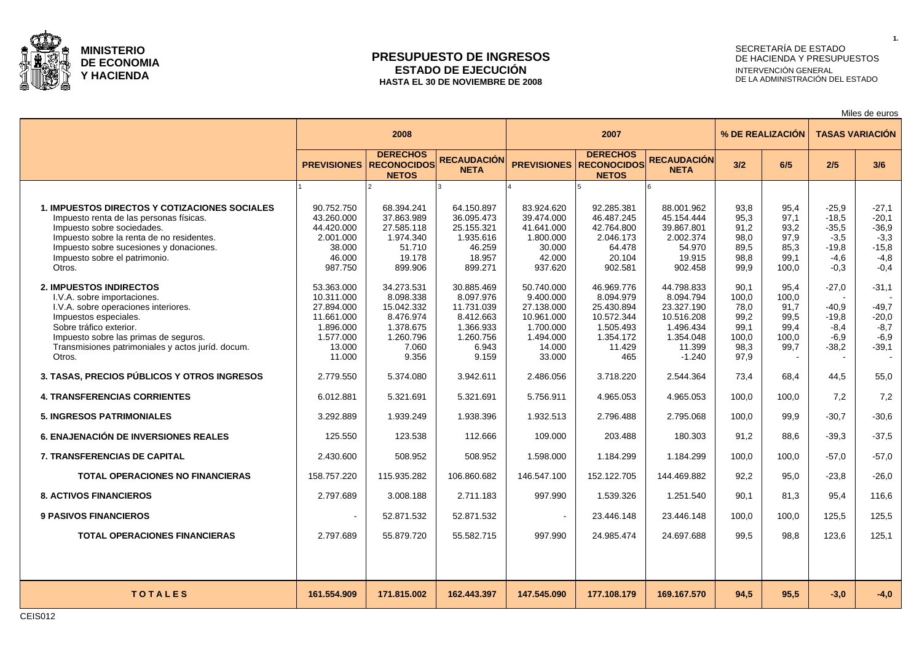

### **PRESUPUESTO DE INGRESOS ESTADO DE EJECUCIÓN HASTA EL 30 DE NOVIEMBRE DE 2008**

# SECRETARÍA DE ESTADO DE HACIENDA Y PRESUPUESTOS INTERVENCIÓN GENERAL DE LA ADMINISTRACIÓN DEL ESTADO

Miles de euros

|                                                                                                                                                                                                                                                                   |                                                                                                    | 2008                                                                                           |                                                                                                |                                                                                                   | 2007                                                                                           |                                                                                                     |                                                                | % DE REALIZACIÓN                                       | <b>TASAS VARIACIÓN</b>                                                 |                                                                        |  |
|-------------------------------------------------------------------------------------------------------------------------------------------------------------------------------------------------------------------------------------------------------------------|----------------------------------------------------------------------------------------------------|------------------------------------------------------------------------------------------------|------------------------------------------------------------------------------------------------|---------------------------------------------------------------------------------------------------|------------------------------------------------------------------------------------------------|-----------------------------------------------------------------------------------------------------|----------------------------------------------------------------|--------------------------------------------------------|------------------------------------------------------------------------|------------------------------------------------------------------------|--|
|                                                                                                                                                                                                                                                                   | <b>PREVISIONES</b>                                                                                 | <b>DERECHOS</b><br><b>RECONOCIDOS</b><br><b>NETOS</b>                                          | <b>RECAUDACIÓN</b><br><b>NETA</b>                                                              | <b>PREVISIONES</b>                                                                                | <b>DERECHOS</b><br><b>RECONOCIDOS</b><br><b>NETOS</b>                                          | <b>RECAUDACIÓN</b><br><b>NETA</b>                                                                   | 3/2                                                            | 6/5                                                    | 2/5                                                                    | 3/6                                                                    |  |
|                                                                                                                                                                                                                                                                   |                                                                                                    |                                                                                                |                                                                                                |                                                                                                   |                                                                                                |                                                                                                     |                                                                |                                                        |                                                                        |                                                                        |  |
| <b>1. IMPUESTOS DIRECTOS Y COTIZACIONES SOCIALES</b><br>Impuesto renta de las personas físicas.<br>Impuesto sobre sociedades.<br>Impuesto sobre la renta de no residentes.<br>Impuesto sobre sucesiones y donaciones.<br>Impuesto sobre el patrimonio.<br>Otros.  | 90.752.750<br>43.260.000<br>44.420.000<br>2.001.000<br>38.000<br>46.000<br>987.750                 | 68.394.241<br>37.863.989<br>27.585.118<br>1.974.340<br>51.710<br>19.178<br>899.906             | 64.150.897<br>36.095.473<br>25.155.321<br>1.935.616<br>46.259<br>18.957<br>899.271             | 83.924.620<br>39.474.000<br>41.641.000<br>1.800.000<br>30.000<br>42.000<br>937.620                | 92.285.381<br>46.487.245<br>42.764.800<br>2.046.173<br>64.478<br>20.104<br>902.581             | 88.001.962<br>45.154.444<br>39.867.801<br>2.002.374<br>54.970<br>19.915<br>902.458                  | 93,8<br>95,3<br>91,2<br>98,0<br>89,5<br>98,8<br>99,9           | 95,4<br>97,1<br>93,2<br>97,9<br>85,3<br>99,1<br>100.0  | $-25,9$<br>$-18,5$<br>$-35.5$<br>$-3,5$<br>$-19.8$<br>$-4,6$<br>$-0.3$ | $-27,1$<br>$-20,1$<br>$-36.9$<br>$-3,3$<br>$-15.8$<br>$-4,8$<br>$-0,4$ |  |
| <b>2. IMPUESTOS INDIRECTOS</b><br>I.V.A. sobre importaciones.<br>I.V.A. sobre operaciones interiores.<br>Impuestos especiales.<br>Sobre tráfico exterior.<br>Impuesto sobre las primas de seguros.<br>Transmisiones patrimoniales y actos juríd. docum.<br>Otros. | 53.363.000<br>10.311.000<br>27.894.000<br>11.661.000<br>1.896.000<br>1.577.000<br>13.000<br>11.000 | 34.273.531<br>8.098.338<br>15.042.332<br>8.476.974<br>1.378.675<br>1.260.796<br>7.060<br>9.356 | 30.885.469<br>8.097.976<br>11.731.039<br>8.412.663<br>1.366.933<br>1.260.756<br>6.943<br>9.159 | 50.740.000<br>9.400.000<br>27.138.000<br>10.961.000<br>1.700.000<br>1.494.000<br>14.000<br>33.000 | 46.969.776<br>8.094.979<br>25.430.894<br>10.572.344<br>1.505.493<br>1.354.172<br>11.429<br>465 | 44.798.833<br>8.094.794<br>23.327.190<br>10.516.208<br>1.496.434<br>1.354.048<br>11.399<br>$-1.240$ | 90.1<br>100,0<br>78,0<br>99,2<br>99.1<br>100,0<br>98,3<br>97,9 | 95,4<br>100,0<br>91,7<br>99,5<br>99,4<br>100,0<br>99,7 | $-27,0$<br>-40.9<br>$-19.8$<br>$-8,4$<br>$-6,9$<br>$-38.2$             | $-31,1$<br>$-49,7$<br>$-20,0$<br>$-8,7$<br>$-6,9$<br>$-39.1$           |  |
| 3. TASAS, PRECIOS PÚBLICOS Y OTROS INGRESOS                                                                                                                                                                                                                       | 2.779.550                                                                                          | 5.374.080                                                                                      | 3.942.611                                                                                      | 2.486.056                                                                                         | 3.718.220                                                                                      | 2.544.364                                                                                           | 73,4                                                           | 68,4                                                   | 44.5                                                                   | 55,0                                                                   |  |
| <b>4. TRANSFERENCIAS CORRIENTES</b>                                                                                                                                                                                                                               | 6.012.881                                                                                          | 5.321.691                                                                                      | 5.321.691                                                                                      | 5.756.911                                                                                         | 4.965.053                                                                                      | 4.965.053                                                                                           | 100,0                                                          | 100.0                                                  | 7,2                                                                    | 7,2                                                                    |  |
| <b>5. INGRESOS PATRIMONIALES</b>                                                                                                                                                                                                                                  | 3.292.889                                                                                          | 1.939.249                                                                                      | 1.938.396                                                                                      | 1.932.513                                                                                         | 2.796.488                                                                                      | 2.795.068                                                                                           | 100.0                                                          | 99,9                                                   | $-30.7$                                                                | $-30,6$                                                                |  |
| <b>6. ENAJENACIÓN DE INVERSIONES REALES</b>                                                                                                                                                                                                                       | 125.550                                                                                            | 123.538                                                                                        | 112.666                                                                                        | 109.000                                                                                           | 203.488                                                                                        | 180.303                                                                                             | 91,2                                                           | 88,6                                                   | $-39.3$                                                                | $-37,5$                                                                |  |
| <b>7. TRANSFERENCIAS DE CAPITAL</b>                                                                                                                                                                                                                               | 2.430.600                                                                                          | 508.952                                                                                        | 508.952                                                                                        | 1.598.000                                                                                         | 1.184.299                                                                                      | 1.184.299                                                                                           | 100.0                                                          | 100.0                                                  | $-57.0$                                                                | $-57,0$                                                                |  |
| <b>TOTAL OPERACIONES NO FINANCIERAS</b>                                                                                                                                                                                                                           | 158.757.220                                                                                        | 115.935.282                                                                                    | 106.860.682                                                                                    | 146.547.100                                                                                       | 152.122.705                                                                                    | 144.469.882                                                                                         | 92.2                                                           | 95.0                                                   | $-23.8$                                                                | $-26,0$                                                                |  |
| <b>8. ACTIVOS FINANCIEROS</b>                                                                                                                                                                                                                                     | 2.797.689                                                                                          | 3.008.188                                                                                      | 2.711.183                                                                                      | 997.990                                                                                           | 1.539.326                                                                                      | 1.251.540                                                                                           | 90.1                                                           | 81,3                                                   | 95.4                                                                   | 116.6                                                                  |  |
| <b>9 PASIVOS FINANCIEROS</b>                                                                                                                                                                                                                                      | $\sim$                                                                                             | 52.871.532                                                                                     | 52.871.532                                                                                     |                                                                                                   | 23.446.148                                                                                     | 23.446.148                                                                                          | 100.0                                                          | 100.0                                                  | 125.5                                                                  | 125.5                                                                  |  |
| <b>TOTAL OPERACIONES FINANCIERAS</b>                                                                                                                                                                                                                              | 2.797.689                                                                                          | 55.879.720                                                                                     | 55.582.715                                                                                     | 997.990                                                                                           | 24.985.474                                                                                     | 24.697.688                                                                                          | 99.5                                                           | 98.8                                                   | 123.6                                                                  | 125.1                                                                  |  |
|                                                                                                                                                                                                                                                                   |                                                                                                    |                                                                                                |                                                                                                |                                                                                                   |                                                                                                |                                                                                                     |                                                                |                                                        |                                                                        |                                                                        |  |
| <b>TOTALES</b>                                                                                                                                                                                                                                                    | 161.554.909                                                                                        | 171.815.002                                                                                    | 162.443.397                                                                                    | 147.545.090                                                                                       | 177.108.179                                                                                    | 169.167.570                                                                                         | 94.5                                                           | 95.5                                                   | $-3.0$                                                                 | $-4.0$                                                                 |  |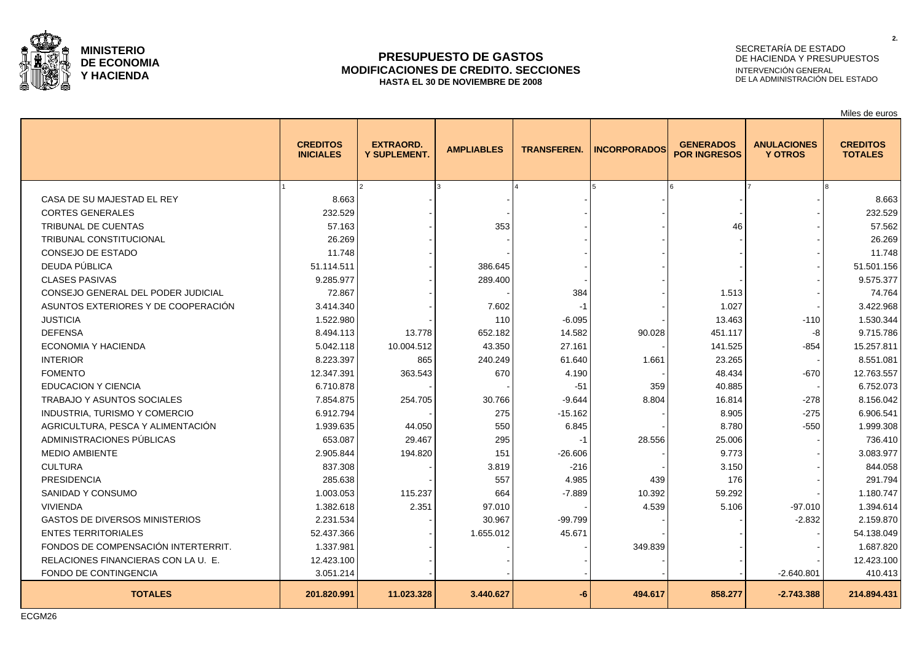

### **PRESUPUESTO DE GASTOS MODIFICACIONES DE CREDITO. SECCIONES HASTA EL 30 DE NOVIEMBRE DE 2008**

# SECRETARÍA DE ESTADO DE HACIENDA Y PRESUPUESTOS INTERVENCIÓN GENERAL DE LA ADMINISTRACIÓN DEL ESTADO

Miles de euros

|                                       | <b>CREDITOS</b><br><b>INICIALES</b> | <b>EXTRAORD.</b><br><b>Y SUPLEMENT.</b> | <b>AMPLIABLES</b> | <b>TRANSFEREN.</b> | <b>INCORPORADOS</b> | <b>GENERADOS</b><br><b>POR INGRESOS</b> | <b>ANULACIONES</b><br><b>Y OTROS</b> | <b>CREDITOS</b><br><b>TOTALES</b> |
|---------------------------------------|-------------------------------------|-----------------------------------------|-------------------|--------------------|---------------------|-----------------------------------------|--------------------------------------|-----------------------------------|
|                                       |                                     |                                         |                   |                    |                     |                                         |                                      |                                   |
| CASA DE SU MAJESTAD EL REY            | 8.663                               |                                         |                   |                    |                     |                                         |                                      | 8.663                             |
| <b>CORTES GENERALES</b>               | 232.529                             |                                         |                   |                    |                     |                                         |                                      | 232.529                           |
| TRIBUNAL DE CUENTAS                   | 57.163                              |                                         | 353               |                    |                     | 46                                      |                                      | 57.562                            |
| TRIBUNAL CONSTITUCIONAL               | 26.269                              |                                         |                   |                    |                     |                                         |                                      | 26.269                            |
| CONSEJO DE ESTADO                     | 11.748                              |                                         |                   |                    |                     |                                         |                                      | 11.748                            |
| DEUDA PÚBLICA                         | 51.114.511                          |                                         | 386.645           |                    |                     |                                         |                                      | 51.501.156                        |
| <b>CLASES PASIVAS</b>                 | 9.285.977                           |                                         | 289.400           |                    |                     |                                         |                                      | 9.575.377                         |
| CONSEJO GENERAL DEL PODER JUDICIAL    | 72.867                              |                                         |                   | 384                |                     | 1.513                                   |                                      | 74.764                            |
| ASUNTOS EXTERIORES Y DE COOPERACIÓN   | 3.414.340                           |                                         | 7.602             | $-1$               |                     | 1.027                                   |                                      | 3.422.968                         |
| <b>JUSTICIA</b>                       | 1.522.980                           |                                         | 110               | $-6.095$           |                     | 13.463                                  | $-110$                               | 1.530.344                         |
| <b>DEFENSA</b>                        | 8.494.113                           | 13.778                                  | 652.182           | 14.582             | 90.028              | 451.117                                 | -8                                   | 9.715.786                         |
| ECONOMIA Y HACIENDA                   | 5.042.118                           | 10.004.512                              | 43.350            | 27.161             |                     | 141.525                                 | -854                                 | 15.257.811                        |
| <b>INTERIOR</b>                       | 8.223.397                           | 865                                     | 240.249           | 61.640             | 1.661               | 23.265                                  |                                      | 8.551.081                         |
| <b>FOMENTO</b>                        | 12.347.391                          | 363.543                                 | 670               | 4.190              |                     | 48.434                                  | $-670$                               | 12.763.557                        |
| <b>EDUCACION Y CIENCIA</b>            | 6.710.878                           |                                         |                   | $-51$              | 359                 | 40.885                                  |                                      | 6.752.073                         |
| <b>TRABAJO Y ASUNTOS SOCIALES</b>     | 7.854.875                           | 254.705                                 | 30.766            | $-9.644$           | 8.804               | 16.814                                  | $-278$                               | 8.156.042                         |
| INDUSTRIA, TURISMO Y COMERCIO         | 6.912.794                           |                                         | 275               | $-15.162$          |                     | 8.905                                   | $-275$                               | 6.906.541                         |
| AGRICULTURA. PESCA Y ALIMENTACIÓN     | 1.939.635                           | 44.050                                  | 550               | 6.845              |                     | 8.780                                   | $-550$                               | 1.999.308                         |
| ADMINISTRACIONES PÚBLICAS             | 653.087                             | 29.467                                  | 295               | $-1$               | 28.556              | 25.006                                  |                                      | 736.410                           |
| <b>MEDIO AMBIENTE</b>                 | 2.905.844                           | 194.820                                 | 151               | $-26.606$          |                     | 9.773                                   |                                      | 3.083.977                         |
| <b>CULTURA</b>                        | 837.308                             |                                         | 3.819             | $-216$             |                     | 3.150                                   |                                      | 844.058                           |
| <b>PRESIDENCIA</b>                    | 285.638                             |                                         | 557               | 4.985              | 439                 | 176                                     |                                      | 291.794                           |
| SANIDAD Y CONSUMO                     | 1.003.053                           | 115.237                                 | 664               | $-7.889$           | 10.392              | 59.292                                  |                                      | 1.180.747                         |
| <b>VIVIENDA</b>                       | 1.382.618                           | 2.351                                   | 97.010            |                    | 4.539               | 5.106                                   | $-97.010$                            | 1.394.614                         |
| <b>GASTOS DE DIVERSOS MINISTERIOS</b> | 2.231.534                           |                                         | 30.967            | $-99.799$          |                     |                                         | $-2.832$                             | 2.159.870                         |
| <b>ENTES TERRITORIALES</b>            | 52.437.366                          |                                         | 1.655.012         | 45.671             |                     |                                         |                                      | 54.138.049                        |
| FONDOS DE COMPENSACIÓN INTERTERRIT.   | 1.337.981                           |                                         |                   |                    | 349.839             |                                         |                                      | 1.687.820                         |
| RELACIONES FINANCIERAS CON LA U. E.   | 12.423.100                          |                                         |                   |                    |                     |                                         |                                      | 12.423.100                        |
| FONDO DE CONTINGENCIA                 | 3.051.214                           |                                         |                   |                    |                     |                                         | $-2.640.801$                         | 410.413                           |
| <b>TOTALES</b>                        | 201.820.991                         | 11.023.328                              | 3.440.627         | -6                 | 494.617             | 858.277                                 | $-2.743.388$                         | 214.894.431                       |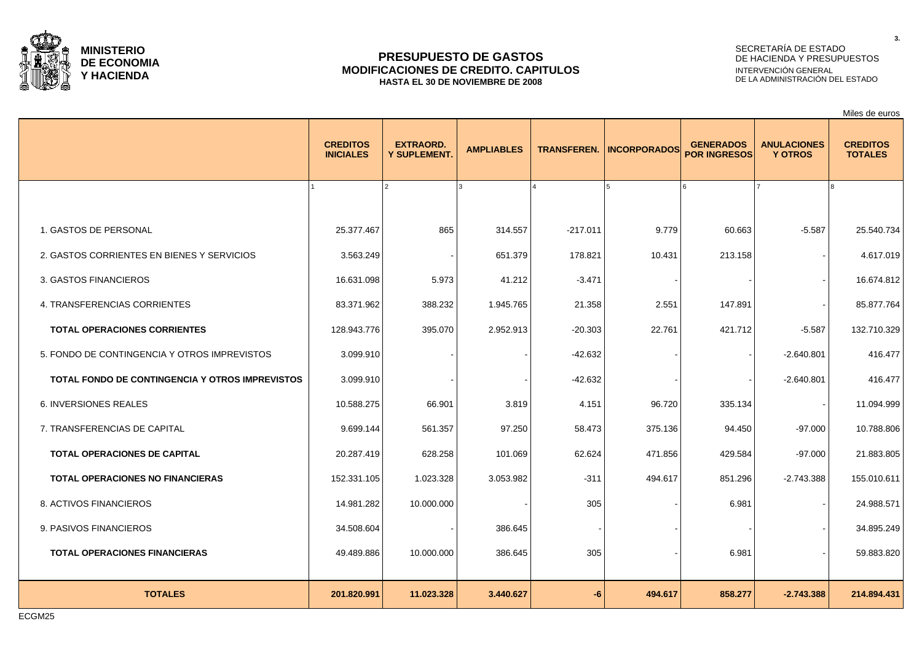

### **PRESUPUESTO DE GASTOS MODIFICACIONES DE CREDITO. CAPITULOS HASTA EL 30 DE NOVIEMBRE DE 2008**

# SECRETARÍA DE ESTADO DE HACIENDA Y PRESUPUESTOS INTERVENCIÓN GENERAL DE LA ADMINISTRACIÓN DEL ESTADO

|                                                 |                                     |                                  |                   |                    |                     |                                                                                 |              | Miles de euros                    |
|-------------------------------------------------|-------------------------------------|----------------------------------|-------------------|--------------------|---------------------|---------------------------------------------------------------------------------|--------------|-----------------------------------|
|                                                 | <b>CREDITOS</b><br><b>INICIALES</b> | <b>EXTRAORD.</b><br>Y SUPLEMENT. | <b>AMPLIABLES</b> | <b>TRANSFEREN.</b> | <b>INCORPORADOS</b> | <b>GENERADOS</b><br><b>ANULACIONES</b><br><b>POR INGRESOS</b><br><b>Y OTROS</b> |              | <b>CREDITOS</b><br><b>TOTALES</b> |
|                                                 |                                     |                                  |                   |                    |                     |                                                                                 |              |                                   |
| 1. GASTOS DE PERSONAL                           | 25.377.467                          | 865                              | 314.557           | $-217.011$         | 9.779               | 60.663                                                                          | $-5.587$     | 25.540.734                        |
| 2. GASTOS CORRIENTES EN BIENES Y SERVICIOS      | 3.563.249                           |                                  | 651.379           | 178.821            | 10.431              | 213.158                                                                         |              | 4.617.019                         |
| 3. GASTOS FINANCIEROS                           | 16.631.098                          | 5.973                            | 41.212            | $-3.471$           |                     |                                                                                 |              | 16.674.812                        |
| 4. TRANSFERENCIAS CORRIENTES                    | 83.371.962                          | 388.232                          | 1.945.765         | 21.358             | 2.551               | 147.891                                                                         |              | 85.877.764                        |
| <b>TOTAL OPERACIONES CORRIENTES</b>             | 128.943.776                         | 395.070                          | 2.952.913         | $-20.303$          | 22.761              | 421.712                                                                         | $-5.587$     | 132.710.329                       |
| 5. FONDO DE CONTINGENCIA Y OTROS IMPREVISTOS    | 3.099.910                           |                                  |                   | $-42.632$          |                     |                                                                                 | $-2.640.801$ | 416.477                           |
| TOTAL FONDO DE CONTINGENCIA Y OTROS IMPREVISTOS | 3.099.910                           |                                  |                   | $-42.632$          |                     |                                                                                 | $-2.640.801$ | 416.477                           |
| <b>6. INVERSIONES REALES</b>                    | 10.588.275                          | 66.901                           | 3.819             | 4.151              | 96.720              | 335.134                                                                         |              | 11.094.999                        |
| 7. TRANSFERENCIAS DE CAPITAL                    | 9.699.144                           | 561.357                          | 97.250            | 58.473             | 375.136             | 94.450                                                                          | $-97.000$    | 10.788.806                        |
| TOTAL OPERACIONES DE CAPITAL                    | 20.287.419                          | 628.258                          | 101.069           | 62.624             | 471.856             | 429.584                                                                         | $-97.000$    | 21.883.805                        |
| <b>TOTAL OPERACIONES NO FINANCIERAS</b>         | 152.331.105                         | 1.023.328                        | 3.053.982         | $-311$             | 494.617             | 851.296                                                                         | $-2.743.388$ | 155.010.611                       |
| 8. ACTIVOS FINANCIEROS                          | 14.981.282                          | 10.000.000                       |                   | 305                |                     | 6.981                                                                           |              | 24.988.571                        |
| 9. PASIVOS FINANCIEROS                          | 34.508.604                          |                                  | 386.645           |                    |                     |                                                                                 |              | 34.895.249                        |
| <b>TOTAL OPERACIONES FINANCIERAS</b>            | 49.489.886                          | 10.000.000                       | 386.645           | 305                |                     | 6.981                                                                           |              | 59.883.820                        |
| <b>TOTALES</b>                                  | 201.820.991                         | 11.023.328                       | 3.440.627         | $-6$               | 494.617             | 858.277                                                                         | $-2.743.388$ | 214.894.431                       |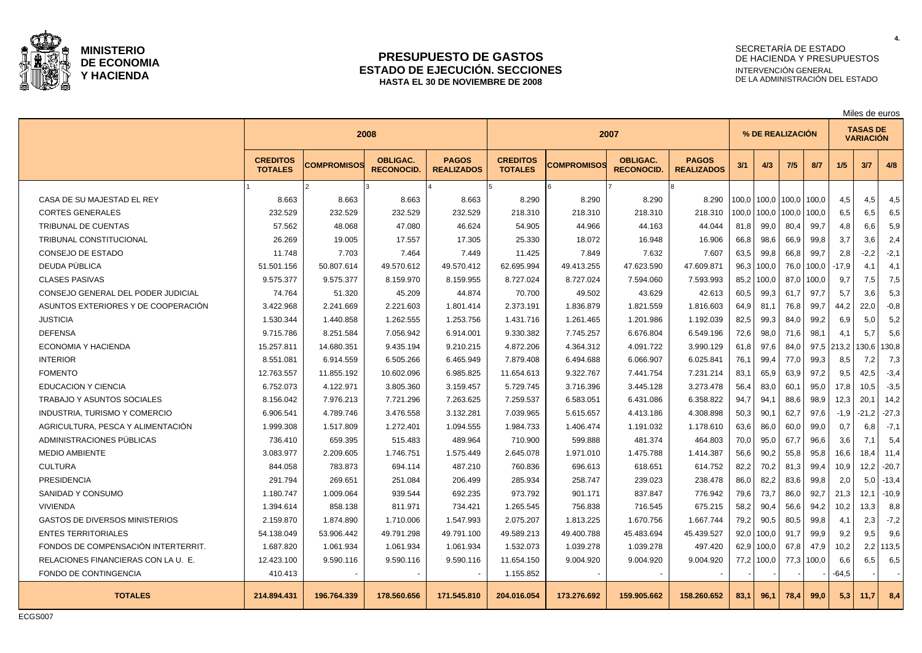

### **PRESUPUESTO DE GASTOS ESTADO DE EJECUCIÓN. SECCIONES HASTA EL 30 DE NOVIEMBRE DE 2008**

# SECRETARÍA DE ESTADO DE HACIENDA Y PRESUPUESTOS INTERVENCIÓN GENERAL DE LA ADMINISTRACIÓN DEL ESTADO

Miles de euros

|                                       |                                   |                    | 2008                                 |                                   | 2007                              |                    |                                      |                                   | % DE REALIZACIÓN |       |             | <b>TASAS DE</b><br><b>VARIACIÓN</b> |         |         |             |
|---------------------------------------|-----------------------------------|--------------------|--------------------------------------|-----------------------------------|-----------------------------------|--------------------|--------------------------------------|-----------------------------------|------------------|-------|-------------|-------------------------------------|---------|---------|-------------|
|                                       | <b>CREDITOS</b><br><b>TOTALES</b> | <b>COMPROMISOS</b> | <b>OBLIGAC.</b><br><b>RECONOCID.</b> | <b>PAGOS</b><br><b>REALIZADOS</b> | <b>CREDITOS</b><br><b>TOTALES</b> | <b>COMPROMISOS</b> | <b>OBLIGAC.</b><br><b>RECONOCID.</b> | <b>PAGOS</b><br><b>REALIZADOS</b> | 3/1              | 4/3   | 7/5         | 8/7                                 | 1/5     | 3/7     | 4/8         |
|                                       |                                   |                    |                                      |                                   |                                   |                    |                                      |                                   |                  |       |             |                                     |         |         |             |
| CASA DE SU MAJESTAD EL REY            | 8.663                             | 8.663              | 8.663                                | 8.663                             | 8.290                             | 8.290              | 8.290                                | 8.290                             | 100.0            | 100.0 | 100,0 100,0 |                                     | 4,5     | 4,5     | 4,5         |
| <b>CORTES GENERALES</b>               | 232.529                           | 232.529            | 232.529                              | 232.529                           | 218.310                           | 218.310            | 218.310                              | 218.310                           | 100,0            | 100,0 | 100,0       | 100,0                               | 6,5     | 6,5     | 6,5         |
| <b>TRIBUNAL DE CUENTAS</b>            | 57.562                            | 48.068             | 47.080                               | 46.624                            | 54.905                            | 44.966             | 44.163                               | 44.044                            | 81,8             | 99,0  | 80,4        | 99,7                                | 4,8     | 6,6     | 5,9         |
| TRIBUNAL CONSTITUCIONAL               | 26.269                            | 19.005             | 17.557                               | 17.305                            | 25.330                            | 18.072             | 16.948                               | 16.906                            | 66,8             | 98,6  | 66,9        | 99,8                                | 3,7     | 3,6     | 2,4         |
| <b>CONSEJO DE ESTADO</b>              | 11.748                            | 7.703              | 7.464                                | 7.449                             | 11.425                            | 7.849              | 7.632                                | 7.607                             | 63,5             | 99,8  | 66,8        | 99,7                                | 2,8     | $-2,2$  | $-2,1$      |
| DEUDA PÚBLICA                         | 51.501.156                        | 50.807.614         | 49.570.612                           | 49.570.412                        | 62.695.994                        | 49.413.255         | 47.623.590                           | 47.609.871                        | 96,3             | 100,0 | 76,0        | 100,0                               | $-17,9$ | 4,1     | 4,1         |
| <b>CLASES PASIVAS</b>                 | 9.575.377                         | 9.575.377          | 8.159.970                            | 8.159.955                         | 8.727.024                         | 8.727.024          | 7.594.060                            | 7.593.993                         | 85,2             | 100,0 | 87,0        | 100,0                               | 9,7     | 7,5     | 7,5         |
| CONSEJO GENERAL DEL PODER JUDICIAL    | 74.764                            | 51.320             | 45.209                               | 44.874                            | 70.700                            | 49.502             | 43.629                               | 42.613                            | 60,5             | 99,3  | 61,7        | 97,7                                | 5,7     | 3,6     | 5,3         |
| ASUNTOS EXTERIORES Y DE COOPERACIÓN   | 3.422.968                         | 2.241.669          | 2.221.603                            | 1.801.414                         | 2.373.191                         | 1.836.879          | 1.821.559                            | 1.816.603                         | 64,9             | 81,1  | 76,8        | 99,7                                | 44,2    | 22,0    | $-0.8$      |
| <b>JUSTICIA</b>                       | 1.530.344                         | 1.440.858          | 1.262.555                            | 1.253.756                         | 1.431.716                         | 1.261.465          | 1.201.986                            | 1.192.039                         | 82,5             | 99,3  | 84,0        | 99,2                                | 6,9     | 5,0     | 5,2         |
| <b>DEFENSA</b>                        | 9.715.786                         | 8.251.584          | 7.056.942                            | 6.914.001                         | 9.330.382                         | 7.745.257          | 6.676.804                            | 6.549.196                         | 72,6             | 98,0  | 71,6        | 98,1                                | 4,1     | 5,7     | 5,6         |
| ECONOMIA Y HACIENDA                   | 15.257.811                        | 14.680.351         | 9.435.194                            | 9.210.215                         | 4.872.206                         | 4.364.312          | 4.091.722                            | 3.990.129                         | 61,8             | 97,6  | 84,0        | 97,5                                | 213,2   | 130,6   | 130,8       |
| <b>INTERIOR</b>                       | 8.551.081                         | 6.914.559          | 6.505.266                            | 6.465.949                         | 7.879.408                         | 6.494.688          | 6.066.907                            | 6.025.841                         | 76,1             | 99,4  | 77.0        | 99,3                                | 8,5     | 7,2     | 7,3         |
| <b>FOMENTO</b>                        | 12.763.557                        | 11.855.192         | 10.602.096                           | 6.985.825                         | 11.654.613                        | 9.322.767          | 7.441.754                            | 7.231.214                         | 83,1             | 65,9  | 63,9        | 97,2                                | 9,5     | 42,5    | $-3,4$      |
| <b>EDUCACION Y CIENCIA</b>            | 6.752.073                         | 4.122.971          | 3.805.360                            | 3.159.457                         | 5.729.745                         | 3.716.396          | 3.445.128                            | 3.273.478                         | 56,4             | 83,0  | 60,1        | 95,0                                | 17,8    | 10,5    | $-3,5$      |
| <b>TRABAJO Y ASUNTOS SOCIALES</b>     | 8.156.042                         | 7.976.213          | 7.721.296                            | 7.263.625                         | 7.259.537                         | 6.583.051          | 6.431.086                            | 6.358.822                         | 94,7             | 94,1  | 88,6        | 98,9                                | 12,3    | 20,1    | 14,2        |
| INDUSTRIA, TURISMO Y COMERCIO         | 6.906.541                         | 4.789.746          | 3.476.558                            | 3.132.281                         | 7.039.965                         | 5.615.657          | 4.413.186                            | 4.308.898                         | 50,3             | 90,1  | 62,7        | 97,6                                | $-1,9$  | $-21,2$ | $-27,3$     |
| AGRICULTURA, PESCA Y ALIMENTACIÓN     | 1.999.308                         | 1.517.809          | 1.272.401                            | 1.094.555                         | 1.984.733                         | 1.406.474          | 1.191.032                            | 1.178.610                         | 63,6             | 86,0  | 60,0        | 99,0                                | 0,7     | 6,8     | $-7,1$      |
| ADMINISTRACIONES PÚBLICAS             | 736.410                           | 659.395            | 515.483                              | 489.964                           | 710.900                           | 599.888            | 481.374                              | 464.803                           | 70,0             | 95,0  | 67,7        | 96,6                                | 3,6     | 7,1     | 5,4         |
| <b>MEDIO AMBIENTE</b>                 | 3.083.977                         | 2.209.605          | 1.746.751                            | 1.575.449                         | 2.645.078                         | 1.971.010          | 1.475.788                            | 1.414.387                         | 56,6             | 90,2  | 55,8        | 95,8                                | 16,6    | 18,4    | 11,4        |
| <b>CULTURA</b>                        | 844.058                           | 783.873            | 694.114                              | 487.210                           | 760.836                           | 696.613            | 618.651                              | 614.752                           | 82,2             | 70,2  | 81,3        | 99,4                                | 10,9    | 12,2    | $-20,7$     |
| <b>PRESIDENCIA</b>                    | 291.794                           | 269.651            | 251.084                              | 206.499                           | 285.934                           | 258.747            | 239.023                              | 238.478                           | 86,0             | 82,2  | 83,6        | 99,8                                | 2,0     | 5,0     | $-13,4$     |
| SANIDAD Y CONSUMO                     | 1.180.747                         | 1.009.064          | 939.544                              | 692.235                           | 973.792                           | 901.171            | 837.847                              | 776.942                           | 79,6             | 73,7  | 86,0        | 92,7                                | 21,3    | 12,1    | $-10,9$     |
| <b>VIVIENDA</b>                       | 1.394.614                         | 858.138            | 811.971                              | 734.421                           | 1.265.545                         | 756.838            | 716.545                              | 675.215                           | 58,2             | 90,4  | 56,6        | 94.2                                | 10,2    | 13,3    | 8,8         |
| <b>GASTOS DE DIVERSOS MINISTERIOS</b> | 2.159.870                         | 1.874.890          | 1.710.006                            | 1.547.993                         | 2.075.207                         | 1.813.225          | 1.670.756                            | 1.667.744                         | 79,2             | 90,5  | 80,5        | 99,8                                | 4,1     | 2,3     | $-7,2$      |
| <b>ENTES TERRITORIALES</b>            | 54.138.049                        | 53.906.442         | 49.791.298                           | 49.791.100                        | 49.589.213                        | 49.400.788         | 45.483.694                           | 45.439.527                        | 92,0             | 100,0 | 91,7        | 99,9                                | 9,2     | 9,5     | 9,6         |
| FONDOS DE COMPENSACIÓN INTERTERRIT.   | 1.687.820                         | 1.061.934          | 1.061.934                            | 1.061.934                         | 1.532.073                         | 1.039.278          | 1.039.278                            | 497.420                           | 62,9             | 100,0 | 67.8        | 47.9                                | 10,2    |         | $2,2$ 113,5 |
| RELACIONES FINANCIERAS CON LA U. E.   | 12.423.100                        | 9.590.116          | 9.590.116                            | 9.590.116                         | 11.654.150                        | 9.004.920          | 9.004.920                            | 9.004.920                         | 77,2             | 100,0 |             | 77,3 100,0                          | 6,6     | 6,5     | 6,5         |
| <b>FONDO DE CONTINGENCIA</b>          | 410.413                           |                    |                                      |                                   | 1.155.852                         |                    |                                      |                                   |                  |       |             |                                     | $-64,5$ |         |             |
| <b>TOTALES</b>                        | 214.894.431                       | 196.764.339        | 178.560.656                          | 171.545.810                       | 204.016.054                       | 173.276.692        | 159.905.662                          | 158.260.652                       | 83.1             | 96.1  | 78,4        | 99,0                                | 5,3     | 11.7    | 8,4         |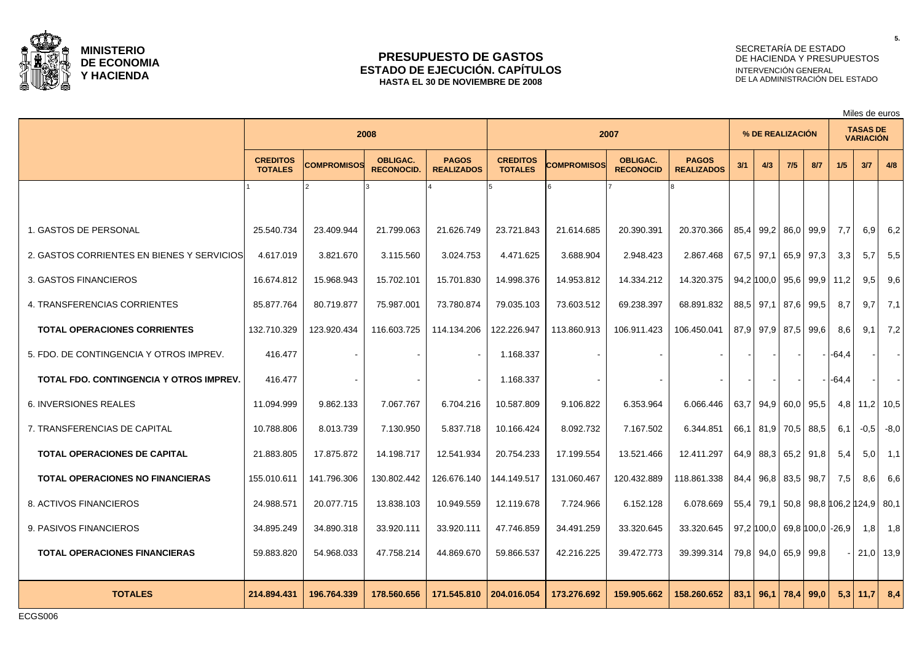

### **PRESUPUESTO DE GASTOS ESTADO DE EJECUCIÓN. CAPÍTULOS HASTA EL 30 DE NOVIEMBRE DE 2008**

# SECRETARÍA DE ESTADO DE HACIENDA Y PRESUPUESTOS INTERVENCIÓN GENERAL DE LA ADMINISTRACIÓN DEL ESTADO

Miles de euros

|                                                |                                   | 2008               |                                      |                                   |                                   | 2007        |                                     |                                   |             | % DE REALIZACIÓN    |      |             |                            | <b>TASAS DE</b><br><b>VARIACIÓN</b> |                 |
|------------------------------------------------|-----------------------------------|--------------------|--------------------------------------|-----------------------------------|-----------------------------------|-------------|-------------------------------------|-----------------------------------|-------------|---------------------|------|-------------|----------------------------|-------------------------------------|-----------------|
|                                                | <b>CREDITOS</b><br><b>TOTALES</b> | <b>COMPROMISOS</b> | <b>OBLIGAC.</b><br><b>RECONOCID.</b> | <b>PAGOS</b><br><b>REALIZADOS</b> | <b>CREDITOS</b><br><b>TOTALES</b> | COMPROMISOS | <b>OBLIGAC.</b><br><b>RECONOCID</b> | <b>PAGOS</b><br><b>REALIZADOS</b> | 3/1         | 4/3                 | 7/5  | 8/7         | 1/5                        | 3/7                                 | 4/8             |
|                                                |                                   |                    |                                      |                                   |                                   |             |                                     |                                   |             |                     |      |             |                            |                                     |                 |
| 1. GASTOS DE PERSONAL                          | 25.540.734                        | 23.409.944         | 21.799.063                           | 21.626.749                        | 23.721.843                        | 21.614.685  | 20.390.391                          | 20.370.366                        | 85,4        | 99,2                |      | 86,0 99,9   | 7,7                        | 6,9                                 | 6,2             |
| 2. GASTOS CORRIENTES EN BIENES Y SERVICIOS     | 4.617.019                         | 3.821.670          | 3.115.560                            | 3.024.753                         | 4.471.625                         | 3.688.904   | 2.948.423                           | 2.867.468                         | $67,5$ 97,1 |                     | 65,9 | 97,3        | 3,3                        | 5,7                                 | 5,5             |
| 3. GASTOS FINANCIEROS                          | 16.674.812                        | 15.968.943         | 15.702.101                           | 15.701.830                        | 14.998.376                        | 14.953.812  | 14.334.212                          | 14.320.375                        |             | 94,2 100,0          |      |             | 95,6 99,9 11,2             | 9,5                                 | 9,6             |
| 4. TRANSFERENCIAS CORRIENTES                   | 85.877.764                        | 80.719.877         | 75.987.001                           | 73.780.874                        | 79.035.103                        | 73.603.512  | 69.238.397                          | 68.891.832                        |             | 88,5 97,1           |      | 87,6 99,5   | 8.7                        | 9.7                                 | 7,1             |
| <b>TOTAL OPERACIONES CORRIENTES</b>            | 132.710.329                       | 123.920.434        | 116.603.725                          | 114.134.206                       | 122.226.947                       | 113.860.913 | 106.911.423                         | 106.450.041                       | 87,9        | 97,9                |      | 87,5 99,6   | 8.6                        | 9.1                                 | 7,2             |
| 5. FDO. DE CONTINGENCIA Y OTROS IMPREV.        | 416.477                           |                    |                                      |                                   | 1.168.337                         |             |                                     |                                   |             |                     |      |             | $-64,4$                    |                                     |                 |
| <b>TOTAL FDO. CONTINGENCIA Y OTROS IMPREV.</b> | 416.477                           |                    |                                      |                                   | 1.168.337                         |             |                                     |                                   |             |                     |      |             | $-64,4$                    |                                     | $\sim$          |
| <b>6. INVERSIONES REALES</b>                   | 11.094.999                        | 9.862.133          | 7.067.767                            | 6.704.216                         | 10.587.809                        | 9.106.822   | 6.353.964                           | 6.066.446                         | 63.7        | $94.9$ 60.0 95.5    |      |             | 4.8                        |                                     | $11,2$   $10,5$ |
| 7. TRANSFERENCIAS DE CAPITAL                   | 10.788.806                        | 8.013.739          | 7.130.950                            | 5.837.718                         | 10.166.424                        | 8.092.732   | 7.167.502                           | 6.344.851                         | 66,1        | 81,9 70,5 88,5      |      |             | 6.1                        | $-0,5$                              | $-8,0$          |
| <b>TOTAL OPERACIONES DE CAPITAL</b>            | 21.883.805                        | 17.875.872         | 14.198.717                           | 12.541.934                        | 20.754.233                        | 17.199.554  | 13.521.466                          | 12.411.297                        | 64,9        | 88,3                |      | $65.2$ 91.8 | 5,4                        | 5.0                                 | 1,1             |
| <b>TOTAL OPERACIONES NO FINANCIERAS</b>        | 155.010.611                       | 141.796.306        | 130.802.442                          | 126.676.140                       | 144.149.517                       | 131.060.467 | 120.432.889                         | 118.861.338                       | 84,4        | 96,8                |      | 83,5 98,7   | 7,5                        | 8,6                                 | 6,6             |
| 8. ACTIVOS FINANCIEROS                         | 24.988.571                        | 20.077.715         | 13.838.103                           | 10.949.559                        | 12.119.678                        | 7.724.966   | 6.152.128                           | 6.078.669                         | 55,4        | 79,1                |      |             | 50,8 98,8 106,2 124,9 80,1 |                                     |                 |
| 9. PASIVOS FINANCIEROS                         | 34.895.249                        | 34.890.318         | 33.920.111                           | 33.920.111                        | 47.746.859                        | 34.491.259  | 33.320.645                          | 33.320.645                        |             | $97,2$ 100,0        |      |             | 69,8 100,0 -26,9           | 1,8                                 | 1,8             |
| <b>TOTAL OPERACIONES FINANCIERAS</b>           | 59.883.820                        | 54.968.033         | 47.758.214                           | 44.869.670                        | 59.866.537                        | 42.216.225  | 39.472.773                          | 39.399.314                        |             | 79,8 94,0 65,9 99,8 |      |             |                            |                                     | $21,0$ 13,9     |
| <b>TOTALES</b>                                 | 214.894.431                       | 196.764.339        | 178.560.656                          | 171.545.810                       | 204.016.054                       | 173.276.692 | 159.905.662                         | 158.260.652                       | 83.1        | 96.1                |      | $78,4$ 99,0 |                            | $5,3$   11,7                        | 8,4             |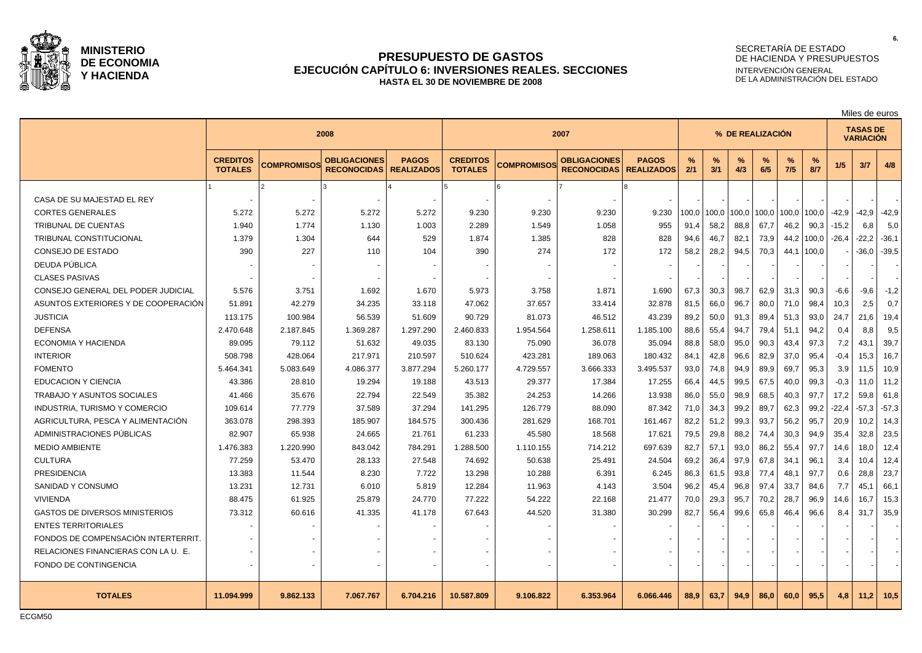

### **PRESUPUESTO DE GASTOS EJECUCIÓN CAPÍTULO 6: INVERSIONES REALES. SECCIONES HASTA EL 30 DE NOVIEMBRE DE 2008**

# SECRETARÍA DE ESTADO DE HACIENDA Y PRESUPUESTOS INTERVENCIÓN GENERAL DE LA ADMINISTRACIÓN DEL ESTADO

|                                       |                                   |                    |                                           |                                   |                                   |                    |                                           |                                   |                  | Miles de euros |          |          |             |          |                                     |         |         |
|---------------------------------------|-----------------------------------|--------------------|-------------------------------------------|-----------------------------------|-----------------------------------|--------------------|-------------------------------------------|-----------------------------------|------------------|----------------|----------|----------|-------------|----------|-------------------------------------|---------|---------|
|                                       |                                   |                    | 2008                                      |                                   | 2007                              |                    |                                           |                                   | % DE REALIZACIÓN |                |          |          |             |          | <b>TASAS DE</b><br><b>VARIACIÓN</b> |         |         |
|                                       | <b>CREDITOS</b><br><b>TOTALES</b> | <b>COMPROMISOS</b> | <b>OBLIGACIONES</b><br><b>RECONOCIDAS</b> | <b>PAGOS</b><br><b>REALIZADOS</b> | <b>CREDITOS</b><br><b>TOTALES</b> | <b>COMPROMISOS</b> | <b>OBLIGACIONES</b><br><b>RECONOCIDAS</b> | <b>PAGOS</b><br><b>REALIZADOS</b> | %<br>2/1         | %<br>3/1       | %<br>4/3 | %<br>6/5 | $\%$<br>7/5 | %<br>8/7 | 1/5                                 | 3/7     | 4/8     |
|                                       |                                   |                    |                                           |                                   |                                   |                    |                                           |                                   |                  |                |          |          |             |          |                                     |         |         |
| CASA DE SU MAJESTAD EL REY            |                                   |                    |                                           |                                   |                                   |                    |                                           |                                   |                  |                |          |          |             |          |                                     |         |         |
| <b>CORTES GENERALES</b>               | 5.272                             | 5.272              | 5.272                                     | 5.272                             | 9.230                             | 9.230              | 9.230                                     | 9.230                             | 100,0            | 100.0          | 100,0    | 100,0    | 100,0       | 100,0    | $-42,9$                             | -42,9   | $-42,9$ |
| <b>TRIBUNAL DE CUENTAS</b>            | 1.940                             | 1.774              | 1.130                                     | 1.003                             | 2.289                             | 1.549              | 1.058                                     | 955                               | 91.4             | 58,2           | 88,8     | 67,7     | 46,2        | 90,3     | $-15,2$                             | 6,8     | 5,0     |
| TRIBUNAL CONSTITUCIONAL               | 1.379                             | 1.304              | 644                                       | 529                               | 1.874                             | 1.385              | 828                                       | 828                               | 94.6             | 46,7           | 82,1     | 73,9     | 44,2        | 100,0    | $-26,4$                             | $-22,2$ | $-36,1$ |
| <b>CONSEJO DE ESTADO</b>              | 390                               | 227                | 110                                       | 104                               | 390                               | 274                | 172                                       | 172                               | 58.2             | 28,2           | 94,5     | 70,3     | 44.1        | 100,0    |                                     | $-36.0$ | $-39.5$ |
| DEUDA PÚBLICA                         |                                   |                    |                                           |                                   |                                   |                    |                                           |                                   |                  |                |          |          |             |          |                                     |         |         |
| <b>CLASES PASIVAS</b>                 |                                   |                    |                                           |                                   |                                   |                    |                                           |                                   |                  |                |          |          |             |          |                                     |         |         |
| CONSEJO GENERAL DEL PODER JUDICIAL    | 5.576                             | 3.751              | 1.692                                     | 1.670                             | 5.973                             | 3.758              | 1.871                                     | 1.690                             | 67,3             | 30,3           | 98,7     | 62,9     | 31,3        | 90,3     | $-6,6$                              | $-9,6$  | $-1,2$  |
| ASUNTOS EXTERIORES Y DE COOPERACIÓN   | 51.891                            | 42.279             | 34.235                                    | 33.118                            | 47.062                            | 37.657             | 33.414                                    | 32.878                            | 81.5             | 66.0           | 96.7     | 80,0     | 71.0        | 98,4     | 10,3                                | 2,5     | 0.7     |
| <b>JUSTICIA</b>                       | 113.175                           | 100.984            | 56.539                                    | 51.609                            | 90.729                            | 81.073             | 46.512                                    | 43.239                            | 89,2             | 50,0           | 91,3     | 89,4     | 51,3        | 93,0     | 24,7                                | 21.6    | 19,4    |
| <b>DEFENSA</b>                        | 2.470.648                         | 2.187.845          | 1.369.287                                 | 1.297.290                         | 2.460.833                         | 1.954.564          | 1.258.611                                 | 1.185.100                         | 88.6             | 55.4           | 94,7     | 79,4     | 51.1        | 94,2     | 0,4                                 | 8.8     | 9.5     |
| ECONOMIA Y HACIENDA                   | 89.095                            | 79.112             | 51.632                                    | 49.035                            | 83.130                            | 75.090             | 36.078                                    | 35.094                            | 88,8             | 58,0           | 95,0     | 90,3     | 43,4        | 97,3     | 7,2                                 | 43,1    | 39,7    |
| <b>INTERIOR</b>                       | 508.798                           | 428.064            | 217.971                                   | 210.597                           | 510.624                           | 423.281            | 189.063                                   | 180.432                           | 84,1             | 42,8           | 96,6     | 82,9     | 37,0        | 95,4     | $-0,4$                              | 15,3    | 16,7    |
| <b>FOMENTO</b>                        | 5.464.341                         | 5.083.649          | 4.086.377                                 | 3.877.294                         | 5.260.177                         | 4.729.557          | 3.666.333                                 | 3.495.537                         | 93,0             | 74,8           | 94,9     | 89,9     | 69,7        | 95,3     | 3,9                                 | 11,5    | 10,9    |
| <b>EDUCACION Y CIENCIA</b>            | 43.386                            | 28.810             | 19.294                                    | 19.188                            | 43.513                            | 29.377             | 17.384                                    | 17.255                            | 66,4             | 44,5           | 99,5     | 67,5     | 40,0        | 99,3     | $-0,3$                              | 11.0    | 11,2    |
| <b>TRABAJO Y ASUNTOS SOCIALES</b>     | 41.466                            | 35.676             | 22.794                                    | 22.549                            | 35.382                            | 24.253             | 14.266                                    | 13.938                            | 86.0             | 55,0           | 98,9     | 68,5     | 40,3        | 97.7     | 17,2                                | 59.8    | 61.8    |
| INDUSTRIA, TURISMO Y COMERCIO         | 109.614                           | 77.779             | 37.589                                    | 37.294                            | 141.295                           | 126.779            | 88.090                                    | 87.342                            | 71,0             | 34,3           | 99,2     | 89,7     | 62,3        | 99,2     | $-22,4$                             | $-57.3$ | $-57,3$ |
| AGRICULTURA, PESCA Y ALIMENTACIÓN     | 363.078                           | 298.393            | 185.907                                   | 184.575                           | 300.436                           | 281.629            | 168.701                                   | 161.467                           | 82,2             | 51,2           | 99,3     | 93,7     | 56,2        | 95,7     | 20,9                                | 10.2    | 14,3    |
| ADMINISTRACIONES PÚBLICAS             | 82.907                            | 65.938             | 24.665                                    | 21.761                            | 61.233                            | 45.580             | 18.568                                    | 17.621                            | 79,5             | 29,8           | 88,2     | 74,4     | 30,3        | 94,9     | 35,4                                | 32,8    | 23,5    |
| <b>MEDIO AMBIENTE</b>                 | 1.476.383                         | 1.220.990          | 843.042                                   | 784.291                           | 1.288.500                         | 1.110.155          | 714.212                                   | 697.639                           | 82,7             | 57,1           | 93,0     | 86,2     | 55,4        | 97,7     | 14,6                                | 18,0    | 12,4    |
| <b>CULTURA</b>                        | 77.259                            | 53.470             | 28.133                                    | 27.548                            | 74.692                            | 50.638             | 25.491                                    | 24.504                            | 69,2             | 36,4           | 97,9     | 67,8     | 34,1        | 96,1     | 3,4                                 | 10,4    | 12,4    |
| <b>PRESIDENCIA</b>                    | 13.383                            | 11.544             | 8.230                                     | 7.722                             | 13.298                            | 10.288             | 6.391                                     | 6.245                             | 86,3             | 61,5           | 93,8     | 77,4     | 48,1        | 97.7     | 0,6                                 | 28,8    | 23,7    |
| SANIDAD Y CONSUMO                     | 13.231                            | 12.731             | 6.010                                     | 5.819                             | 12.284                            | 11.963             | 4.143                                     | 3.504                             | 96,2             | 45,4           | 96,8     | 97,4     | 33,7        | 84,6     | 7,7                                 | 45,7    | 66,1    |
| <b>VIVIENDA</b>                       | 88.475                            | 61.925             | 25.879                                    | 24.770                            | 77.222                            | 54.222             | 22.168                                    | 21.477                            | 70.0             | 29,3           | 95,7     | 70,2     | 28,7        | 96,9     | 14,6                                | 16,7    | 15,3    |
| <b>GASTOS DE DIVERSOS MINISTERIOS</b> | 73.312                            | 60.616             | 41.335                                    | 41.178                            | 67.643                            | 44.520             | 31.380                                    | 30.299                            | 82,7             | 56.4           | 99,6     | 65,8     | 46,4        | 96,6     | 8,4                                 | 31.7    | 35,9    |
| <b>ENTES TERRITORIALES</b>            |                                   |                    |                                           |                                   |                                   |                    |                                           |                                   |                  |                |          |          |             |          |                                     |         |         |
| FONDOS DE COMPENSACIÓN INTERTERRIT.   |                                   |                    |                                           |                                   |                                   |                    |                                           |                                   |                  |                |          |          |             |          |                                     |         |         |
| RELACIONES FINANCIERAS CON LA U. E.   |                                   |                    |                                           |                                   |                                   |                    |                                           |                                   |                  |                |          |          |             |          |                                     |         |         |
| FONDO DE CONTINGENCIA                 |                                   |                    |                                           |                                   |                                   |                    |                                           |                                   |                  |                |          |          |             |          |                                     |         |         |
| <b>TOTALES</b>                        | 11.094.999                        | 9.862.133          | 7.067.767                                 | 6.704.216                         | 10.587.809                        | 9.106.822          | 6.353.964                                 | 6.066.446                         | 88.9             | 63.7           | 94.9     | 86.0     | 60.0        | 95.5     | 4.8                                 | 11.2    | 10,5    |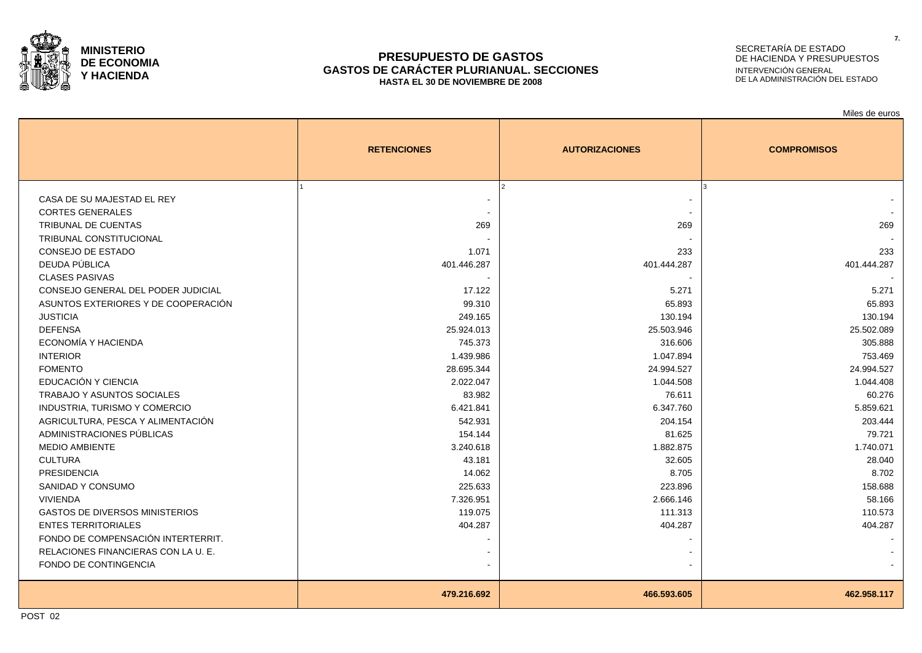

### **PRESUPUESTO DE GASTOS GASTOS DE CARÁCTER PLURIANUAL. SECCIONES HASTA EL 30 DE NOVIEMBRE DE 2008**

# SECRETARÍA DE ESTADO DE HACIENDA Y PRESUPUESTOS INTERVENCIÓN GENERAL DE LA ADMINISTRACIÓN DEL ESTADO

|                                       |                    |                       | Miles de euros     |
|---------------------------------------|--------------------|-----------------------|--------------------|
|                                       | <b>RETENCIONES</b> | <b>AUTORIZACIONES</b> | <b>COMPROMISOS</b> |
|                                       |                    |                       |                    |
| CASA DE SU MAJESTAD EL REY            |                    |                       |                    |
| <b>CORTES GENERALES</b>               |                    |                       |                    |
| <b>TRIBUNAL DE CUENTAS</b>            | 269                | 269                   | 269                |
| TRIBUNAL CONSTITUCIONAL               |                    |                       |                    |
| <b>CONSEJO DE ESTADO</b>              | 1.071              | 233                   | 233                |
| DEUDA PÚBLICA                         | 401.446.287        | 401.444.287           | 401.444.287        |
| <b>CLASES PASIVAS</b>                 |                    |                       |                    |
| CONSEJO GENERAL DEL PODER JUDICIAL    | 17.122             | 5.271                 | 5.271              |
| ASUNTOS EXTERIORES Y DE COOPERACIÓN   | 99.310             | 65.893                | 65.893             |
| <b>JUSTICIA</b>                       | 249.165            | 130.194               | 130.194            |
| <b>DEFENSA</b>                        | 25.924.013         | 25.503.946            | 25.502.089         |
| ECONOMÍA Y HACIENDA                   | 745.373            | 316.606               | 305.888            |
| <b>INTERIOR</b>                       | 1.439.986          | 1.047.894             | 753.469            |
| <b>FOMENTO</b>                        | 28.695.344         | 24.994.527            | 24.994.527         |
| EDUCACIÓN Y CIENCIA                   | 2.022.047          | 1.044.508             | 1.044.408          |
| <b>TRABAJO Y ASUNTOS SOCIALES</b>     | 83.982             | 76.611                | 60.276             |
| INDUSTRIA, TURISMO Y COMERCIO         | 6.421.841          | 6.347.760             | 5.859.621          |
| AGRICULTURA, PESCA Y ALIMENTACIÓN     | 542.931            | 204.154               | 203.444            |
| ADMINISTRACIONES PÚBLICAS             | 154.144            | 81.625                | 79.721             |
| <b>MEDIO AMBIENTE</b>                 | 3.240.618          | 1.882.875             | 1.740.071          |
| <b>CULTURA</b>                        | 43.181             | 32.605                | 28.040             |
| <b>PRESIDENCIA</b>                    | 14.062             | 8.705                 | 8.702              |
| SANIDAD Y CONSUMO                     | 225.633            | 223.896               | 158.688            |
| <b>VIVIENDA</b>                       | 7.326.951          | 2.666.146             | 58.166             |
| <b>GASTOS DE DIVERSOS MINISTERIOS</b> | 119.075            | 111.313               | 110.573            |
| <b>ENTES TERRITORIALES</b>            | 404.287            | 404.287               | 404.287            |
| FONDO DE COMPENSACIÓN INTERTERRIT.    |                    |                       |                    |
| RELACIONES FINANCIERAS CON LA U. E.   |                    |                       |                    |
| FONDO DE CONTINGENCIA                 |                    |                       |                    |
|                                       | 479.216.692        | 466.593.605           | 462.958.117        |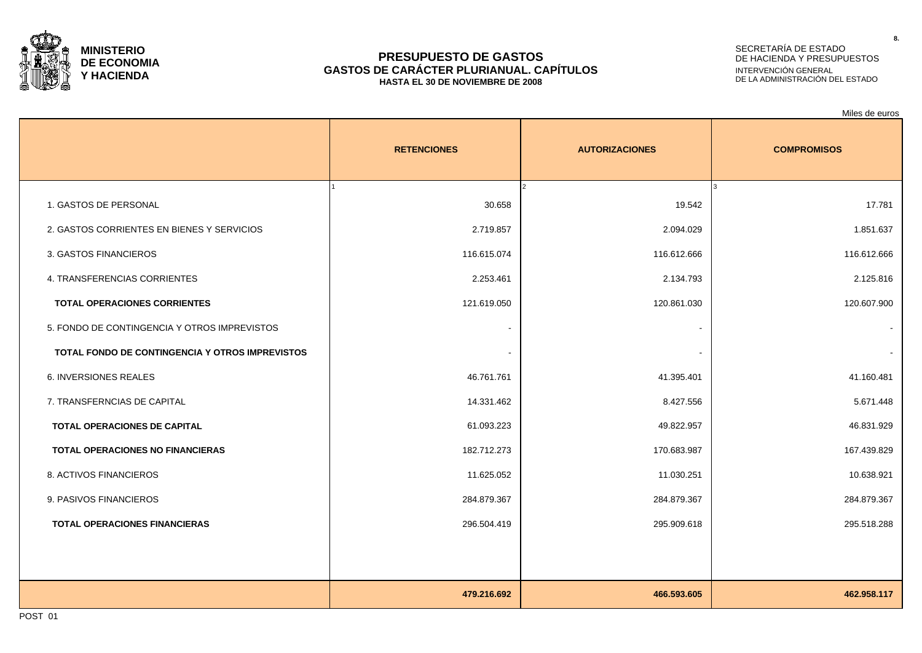

### **PRESUPUESTO DE GASTOS GASTOS DE CARÁCTER PLURIANUAL. CAPÍTULOS HASTA EL 30 DE NOVIEMBRE DE 2008**

# SECRETARÍA DE ESTADO DE HACIENDA Y PRESUPUESTOS INTERVENCIÓN GENERAL DE LA ADMINISTRACIÓN DEL ESTADO

Miles de euros

|                                                 | <b>RETENCIONES</b> | <b>AUTORIZACIONES</b>   | <b>COMPROMISOS</b> |
|-------------------------------------------------|--------------------|-------------------------|--------------------|
| 1. GASTOS DE PERSONAL                           | 30.658             | $\mathcal{L}$<br>19.542 | 17.781             |
| 2. GASTOS CORRIENTES EN BIENES Y SERVICIOS      | 2.719.857          | 2.094.029               | 1.851.637          |
| 3. GASTOS FINANCIEROS                           | 116.615.074        | 116.612.666             | 116.612.666        |
| 4. TRANSFERENCIAS CORRIENTES                    | 2.253.461          | 2.134.793               | 2.125.816          |
| <b>TOTAL OPERACIONES CORRIENTES</b>             | 121.619.050        | 120.861.030             | 120.607.900        |
| 5. FONDO DE CONTINGENCIA Y OTROS IMPREVISTOS    |                    |                         |                    |
| TOTAL FONDO DE CONTINGENCIA Y OTROS IMPREVISTOS |                    |                         |                    |
| 6. INVERSIONES REALES                           | 46.761.761         | 41.395.401              | 41.160.481         |
| 7. TRANSFERNCIAS DE CAPITAL                     | 14.331.462         | 8.427.556               | 5.671.448          |
| TOTAL OPERACIONES DE CAPITAL                    | 61.093.223         | 49.822.957              | 46.831.929         |
| TOTAL OPERACIONES NO FINANCIERAS                | 182.712.273        | 170.683.987             | 167.439.829        |
| 8. ACTIVOS FINANCIEROS                          | 11.625.052         | 11.030.251              | 10.638.921         |
| 9. PASIVOS FINANCIEROS                          | 284.879.367        | 284.879.367             | 284.879.367        |
| <b>TOTAL OPERACIONES FINANCIERAS</b>            | 296.504.419        | 295.909.618             | 295.518.288        |
|                                                 |                    |                         |                    |
|                                                 |                    |                         |                    |
|                                                 | 479.216.692        | 466.593.605             | 462.958.117        |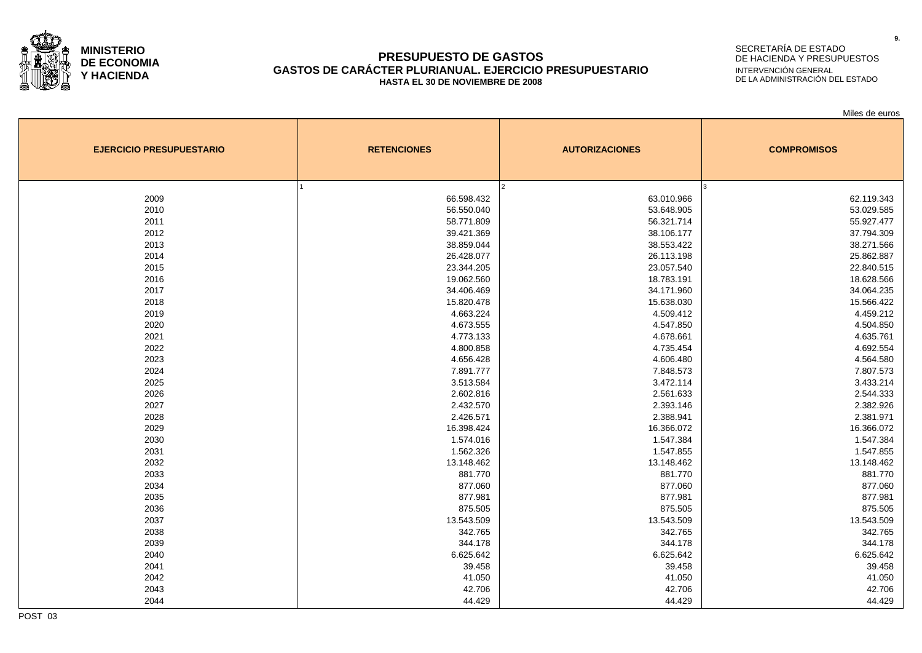

### **PRESUPUESTO DE GASTOS GASTOS DE CARÁCTER PLURIANUAL. EJERCICIO PRESUPUESTARIO HASTA EL 30 DE NOVIEMBRE DE 2008**

# SECRETARÍA DE ESTADO DE HACIENDA Y PRESUPUESTOS INTERVENCIÓN GENERAL DE LA ADMINISTRACIÓN DEL ESTADO

Miles de euros

| <b>EJERCICIO PRESUPUESTARIO</b> | <b>RETENCIONES</b> | <b>AUTORIZACIONES</b> | <b>COMPROMISOS</b> |
|---------------------------------|--------------------|-----------------------|--------------------|
|                                 |                    |                       |                    |
| 2009                            | 66.598.432         | 63.010.966            | 62.119.343         |
| 2010                            | 56.550.040         | 53.648.905            | 53.029.585         |
| 2011                            | 58.771.809         | 56.321.714            | 55.927.477         |
| 2012                            | 39.421.369         | 38.106.177            | 37.794.309         |
| 2013                            | 38.859.044         | 38.553.422            | 38.271.566         |
| 2014                            | 26.428.077         | 26.113.198            | 25.862.887         |
| 2015                            | 23.344.205         | 23.057.540            | 22.840.515         |
| 2016                            | 19.062.560         | 18.783.191            | 18.628.566         |
| 2017                            | 34.406.469         | 34.171.960            | 34.064.235         |
| 2018                            | 15.820.478         | 15.638.030            | 15.566.422         |
| 2019                            | 4.663.224          | 4.509.412             | 4.459.212          |
| 2020                            | 4.673.555          | 4.547.850             | 4.504.850          |
| 2021                            | 4.773.133          | 4.678.661             | 4.635.761          |
| 2022                            | 4.800.858          | 4.735.454             | 4.692.554          |
| 2023                            | 4.656.428          | 4.606.480             | 4.564.580          |
| 2024                            | 7.891.777          | 7.848.573             | 7.807.573          |
| 2025                            | 3.513.584          | 3.472.114             | 3.433.214          |
| 2026                            | 2.602.816          | 2.561.633             | 2.544.333          |
| 2027                            | 2.432.570          | 2.393.146             | 2.382.926          |
| 2028                            | 2.426.571          | 2.388.941             | 2.381.971          |
| 2029                            | 16.398.424         | 16.366.072            | 16.366.072         |
| 2030                            | 1.574.016          | 1.547.384             | 1.547.384          |
| 2031                            | 1.562.326          | 1.547.855             | 1.547.855          |
| 2032                            | 13.148.462         | 13.148.462            | 13.148.462         |
| 2033                            | 881.770            | 881.770               | 881.770            |
| 2034                            | 877.060            | 877.060               | 877.060            |
| 2035                            | 877.981            | 877.981               | 877.981            |
| 2036                            | 875.505            | 875.505               | 875.505            |
| 2037                            | 13.543.509         | 13.543.509            | 13.543.509         |
| 2038                            | 342.765            | 342.765               | 342.765            |
| 2039                            | 344.178            | 344.178               | 344.178            |
| 2040                            | 6.625.642          | 6.625.642             | 6.625.642          |
| 2041                            | 39.458             | 39.458                | 39.458             |
| 2042                            | 41.050             | 41.050                | 41.050             |
| 2043                            | 42.706             | 42.706                | 42.706             |
| 2044                            | 44.429             | 44.429                | 44.429             |